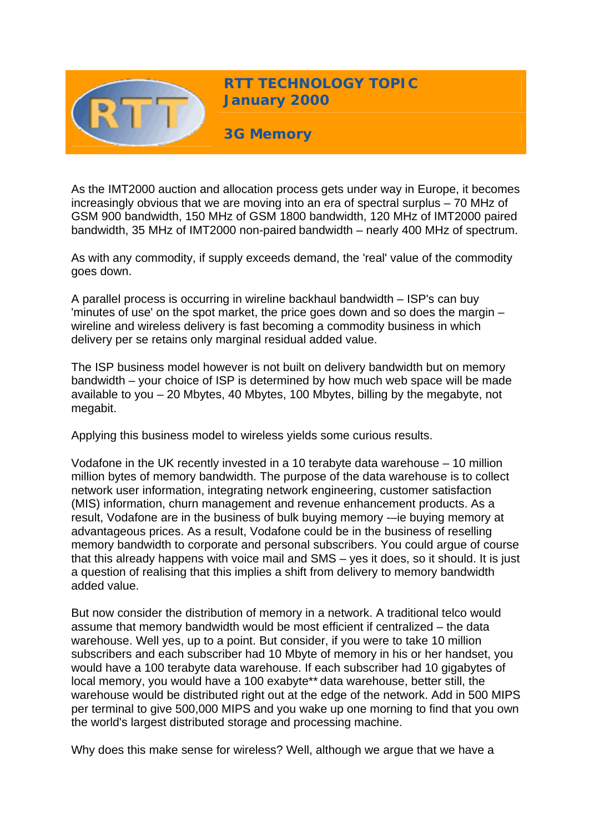

**RTT TECHNOLOGY TOPIC January 2000**

**3G Memory** 

As the IMT2000 auction and allocation process gets under way in Europe, it becomes increasingly obvious that we are moving into an era of spectral surplus – 70 MHz of GSM 900 bandwidth, 150 MHz of GSM 1800 bandwidth, 120 MHz of IMT2000 paired bandwidth, 35 MHz of IMT2000 non-paired bandwidth – nearly 400 MHz of spectrum.

As with any commodity, if supply exceeds demand, the 'real' value of the commodity goes down.

A parallel process is occurring in wireline backhaul bandwidth – ISP's can buy 'minutes of use' on the spot market, the price goes down and so does the margin – wireline and wireless delivery is fast becoming a commodity business in which delivery per se retains only marginal residual added value.

The ISP business model however is not built on delivery bandwidth but on memory bandwidth – your choice of ISP is determined by how much web space will be made available to you – 20 Mbytes, 40 Mbytes, 100 Mbytes, billing by the megabyte, not megabit.

Applying this business model to wireless yields some curious results.

Vodafone in the UK recently invested in a 10 terabyte data warehouse – 10 million million bytes of memory bandwidth. The purpose of the data warehouse is to collect network user information, integrating network engineering, customer satisfaction (MIS) information, churn management and revenue enhancement products. As a result, Vodafone are in the business of bulk buying memory -–ie buying memory at advantageous prices. As a result, Vodafone could be in the business of reselling memory bandwidth to corporate and personal subscribers. You could argue of course that this already happens with voice mail and SMS – yes it does, so it should. It is just a question of realising that this implies a shift from delivery to memory bandwidth added value.

But now consider the distribution of memory in a network. A traditional telco would assume that memory bandwidth would be most efficient if centralized – the data warehouse. Well yes, up to a point. But consider, if you were to take 10 million subscribers and each subscriber had 10 Mbyte of memory in his or her handset, you would have a 100 terabyte data warehouse. If each subscriber had 10 gigabytes of local memory, you would have a 100 exabyte\*\* data warehouse, better still, the warehouse would be distributed right out at the edge of the network. Add in 500 MIPS per terminal to give 500,000 MIPS and you wake up one morning to find that you own the world's largest distributed storage and processing machine.

Why does this make sense for wireless? Well, although we argue that we have a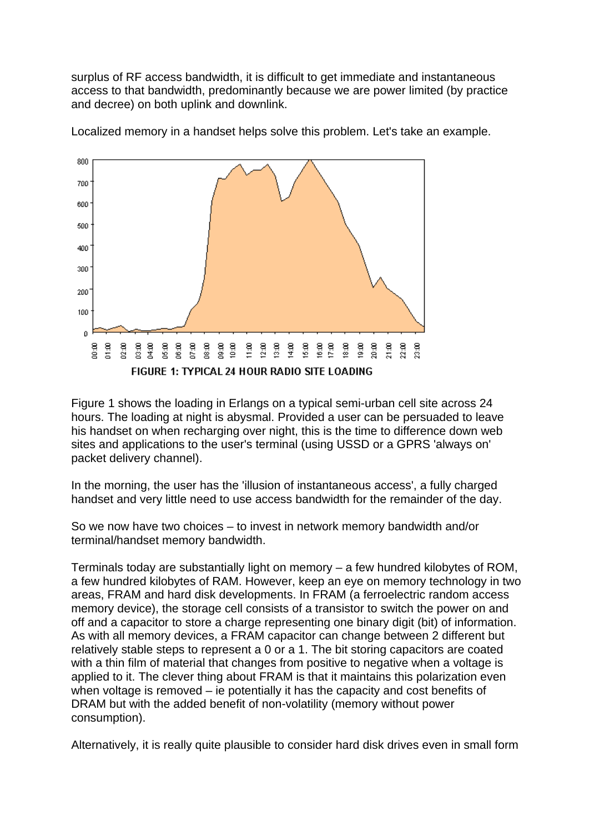surplus of RF access bandwidth, it is difficult to get immediate and instantaneous access to that bandwidth, predominantly because we are power limited (by practice and decree) on both uplink and downlink.



Localized memory in a handset helps solve this problem. Let's take an example.

Figure 1 shows the loading in Erlangs on a typical semi-urban cell site across 24 hours. The loading at night is abysmal. Provided a user can be persuaded to leave his handset on when recharging over night, this is the time to difference down web sites and applications to the user's terminal (using USSD or a GPRS 'always on' packet delivery channel).

In the morning, the user has the 'illusion of instantaneous access', a fully charged handset and very little need to use access bandwidth for the remainder of the day.

So we now have two choices – to invest in network memory bandwidth and/or terminal/handset memory bandwidth.

Terminals today are substantially light on memory – a few hundred kilobytes of ROM, a few hundred kilobytes of RAM. However, keep an eye on memory technology in two areas, FRAM and hard disk developments. In FRAM (a ferroelectric random access memory device), the storage cell consists of a transistor to switch the power on and off and a capacitor to store a charge representing one binary digit (bit) of information. As with all memory devices, a FRAM capacitor can change between 2 different but relatively stable steps to represent a 0 or a 1. The bit storing capacitors are coated with a thin film of material that changes from positive to negative when a voltage is applied to it. The clever thing about FRAM is that it maintains this polarization even when voltage is removed – ie potentially it has the capacity and cost benefits of DRAM but with the added benefit of non-volatility (memory without power consumption).

Alternatively, it is really quite plausible to consider hard disk drives even in small form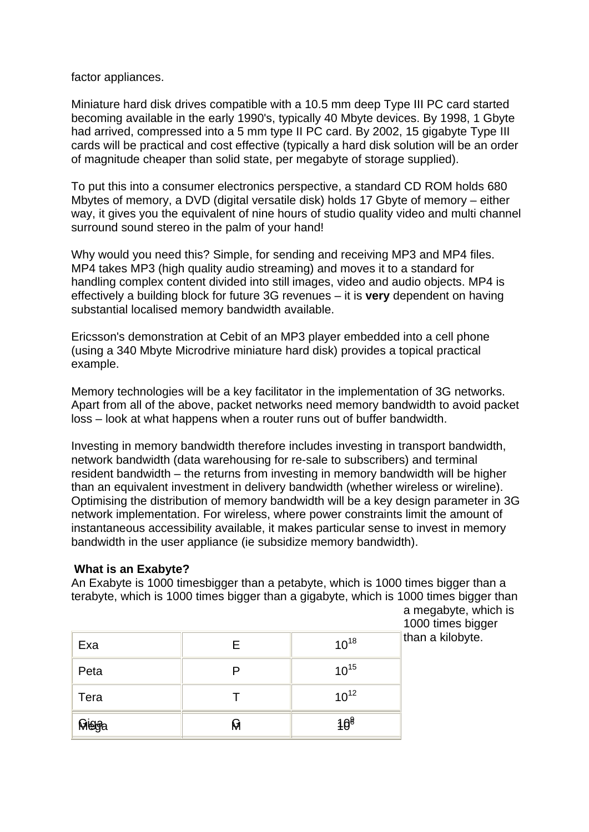factor appliances.

Miniature hard disk drives compatible with a 10.5 mm deep Type III PC card started becoming available in the early 1990's, typically 40 Mbyte devices. By 1998, 1 Gbyte had arrived, compressed into a 5 mm type II PC card. By 2002, 15 gigabyte Type III cards will be practical and cost effective (typically a hard disk solution will be an order of magnitude cheaper than solid state, per megabyte of storage supplied).

To put this into a consumer electronics perspective, a standard CD ROM holds 680 Mbytes of memory, a DVD (digital versatile disk) holds 17 Gbyte of memory – either way, it gives you the equivalent of nine hours of studio quality video and multi channel surround sound stereo in the palm of your hand!

Why would you need this? Simple, for sending and receiving MP3 and MP4 files. MP4 takes MP3 (high quality audio streaming) and moves it to a standard for handling complex content divided into still images, video and audio objects. MP4 is effectively a building block for future 3G revenues – it is **very** dependent on having substantial localised memory bandwidth available.

Ericsson's demonstration at Cebit of an MP3 player embedded into a cell phone (using a 340 Mbyte Microdrive miniature hard disk) provides a topical practical example.

Memory technologies will be a key facilitator in the implementation of 3G networks. Apart from all of the above, packet networks need memory bandwidth to avoid packet loss – look at what happens when a router runs out of buffer bandwidth.

Investing in memory bandwidth therefore includes investing in transport bandwidth, network bandwidth (data warehousing for re-sale to subscribers) and terminal resident bandwidth – the returns from investing in memory bandwidth will be higher than an equivalent investment in delivery bandwidth (whether wireless or wireline). Optimising the distribution of memory bandwidth will be a key design parameter in 3G network implementation. For wireless, where power constraints limit the amount of instantaneous accessibility available, it makes particular sense to invest in memory bandwidth in the user appliance (ie subsidize memory bandwidth).

## **What is an Exabyte?**

An Exabyte is 1000 timesbigger than a petabyte, which is 1000 times bigger than a terabyte, which is 1000 times bigger than a gigabyte, which is 1000 times bigger than a megabyte, which is

1000 times bigger than a kilobyte.

| Exa   | F | $10^{18}$       |
|-------|---|-----------------|
| Peta  |   | $10^{15}$       |
| Tera  |   | $10^{12}$       |
| Migga | М | 10 <sup>8</sup> |